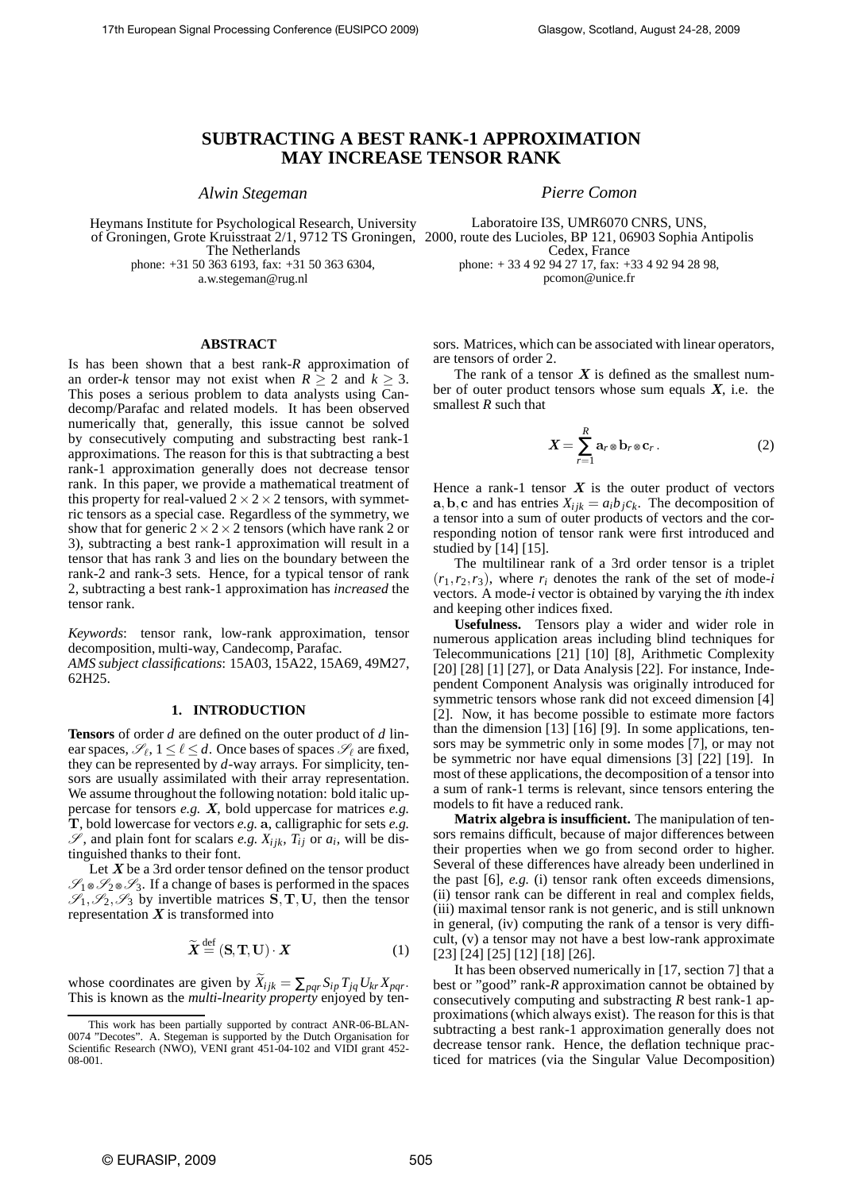# **SUBTRACTING A BEST RANK-1 APPROXIMATION MAY INCREASE TENSOR RANK**

*Alwin Stegeman*

Heymans Institute for Psychological Research, University The Netherlands phone: +31 50 363 6193, fax: +31 50 363 6304,

a.w.stegeman@rug.nl

#### **ABSTRACT**

Is has been shown that a best rank-*R* approximation of an order-*k* tensor may not exist when  $R \geq 2$  and  $k \geq 3$ . This poses a serious problem to data analysts using Candecomp/Parafac and related models. It has been observed numerically that, generally, this issue cannot be solved by consecutively computing and substracting best rank-1 approximations. The reason for this is that subtracting a best rank-1 approximation generally does not decrease tensor rank. In this paper, we provide a mathematical treatment of this property for real-valued  $2 \times 2 \times 2$  tensors, with symmetric tensors as a special case. Regardless of the symmetry, we show that for generic  $2 \times 2 \times 2$  tensors (which have rank 2 or 3), subtracting a best rank-1 approximation will result in a tensor that has rank 3 and lies on the boundary between the rank-2 and rank-3 sets. Hence, for a typical tensor of rank 2, subtracting a best rank-1 approximation has *increased* the tensor rank.

*Keywords*: tensor rank, low-rank approximation, tensor decomposition, multi-way, Candecomp, Parafac. *AMS subject classifications*: 15A03, 15A22, 15A69, 49M27, 62H25.

## **1. INTRODUCTION**

**Tensors** of order *d* are defined on the outer product of *d* linear spaces,  $\mathscr{S}_{\ell}$ ,  $1 \leq \ell \leq d$ . Once bases of spaces  $\mathscr{S}_{\ell}$  are fixed, they can be represented by *d*-way arrays. For simplicity, tensors are usually assimilated with their array representation. We assume throughout the following notation: bold italic uppercase for tensors *e.g.* X, bold uppercase for matrices *e.g.* T, bold lowercase for vectors *e.g.* a, calligraphic for sets *e.g.*  $\mathscr{S}$ , and plain font for scalars *e.g.*  $X_{ijk}$ ,  $T_{ij}$  or  $a_i$ , will be distinguished thanks to their font.

Let  $X$  be a 3rd order tensor defined on the tensor product  $\mathcal{S}_1 \otimes \mathcal{S}_2 \otimes \mathcal{S}_3$ . If a change of bases is performed in the spaces  $\mathcal{S}_1, \mathcal{S}_2, \mathcal{S}_3$  by invertible matrices  $\mathbf{S}, \mathbf{T}, \mathbf{U}$ , then the tensor representation  $X$  is transformed into

$$
\widetilde{\mathbf{X}} \stackrel{\text{def}}{=} (\mathbf{S}, \mathbf{T}, \mathbf{U}) \cdot \mathbf{X} \tag{1}
$$

whose coordinates are given by  $X_{ijk} = \sum_{pqr} S_{ip} T_{jq} U_{kr} X_{pqr}$ .<br>This is known as the *multi-lnearity property* enjoyed by ten-

*Pierre Comon*

of Groningen, Grote Kruisstraat 2/1, 9712 TS Groningen, 2000, route des Lucioles, BP 121, 06903 Sophia Antipolis Laboratoire I3S, UMR6070 CNRS, UNS, Cedex, France phone: + 33 4 92 94 27 17, fax: +33 4 92 94 28 98, pcomon@unice.fr

> sors. Matrices, which can be associated with linear operators, are tensors of order 2.

> The rank of a tensor  $X$  is defined as the smallest number of outer product tensors whose sum equals  $X$ , i.e. the smallest *R* such that

$$
X = \sum_{r=1}^{R} \mathbf{a}_r \otimes \mathbf{b}_r \otimes \mathbf{c}_r.
$$
 (2)

Hence a rank-1 tensor  $X$  is the outer product of vectors a, b, c and has entries  $X_{ijk} = a_i b_j c_k$ . The decomposition of a tensor into a sum of outer products of vectors and the corresponding notion of tensor rank were first introduced and studied by [14] [15].

The multilinear rank of a 3rd order tensor is a triplet  $(r_1, r_2, r_3)$ , where  $r_i$  denotes the rank of the set of mode-*i* vectors. A mode-*i* vector is obtained by varying the *i*th index and keeping other indices fixed.

**Usefulness.** Tensors play a wider and wider role in numerous application areas including blind techniques for Telecommunications [21] [10] [8], Arithmetic Complexity [20] [28] [1] [27], or Data Analysis [22]. For instance, Independent Component Analysis was originally introduced for symmetric tensors whose rank did not exceed dimension [4] [2]. Now, it has become possible to estimate more factors than the dimension [13] [16] [9]. In some applications, tensors may be symmetric only in some modes [7], or may not be symmetric nor have equal dimensions [3] [22] [19]. In most of these applications, the decomposition of a tensor into a sum of rank-1 terms is relevant, since tensors entering the models to fit have a reduced rank.

**Matrix algebra is insufficient.** The manipulation of tensors remains difficult, because of major differences between their properties when we go from second order to higher. Several of these differences have already been underlined in the past [6], *e.g.* (i) tensor rank often exceeds dimensions, (ii) tensor rank can be different in real and complex fields, (iii) maximal tensor rank is not generic, and is still unknown in general, (iv) computing the rank of a tensor is very difficult, (v) a tensor may not have a best low-rank approximate [23] [24] [25] [12] [18] [26].

It has been observed numerically in [17, section 7] that a best or "good" rank-*R* approximation cannot be obtained by consecutively computing and substracting *R* best rank-1 approximations (which always exist). The reason for this is that subtracting a best rank-1 approximation generally does not decrease tensor rank. Hence, the deflation technique practiced for matrices (via the Singular Value Decomposition)

This work has been partially supported by contract ANR-06-BLAN-0074 "Decotes". A. Stegeman is supported by the Dutch Organisation for Scientific Research (NWO), VENI grant 451-04-102 and VIDI grant 452-08-001.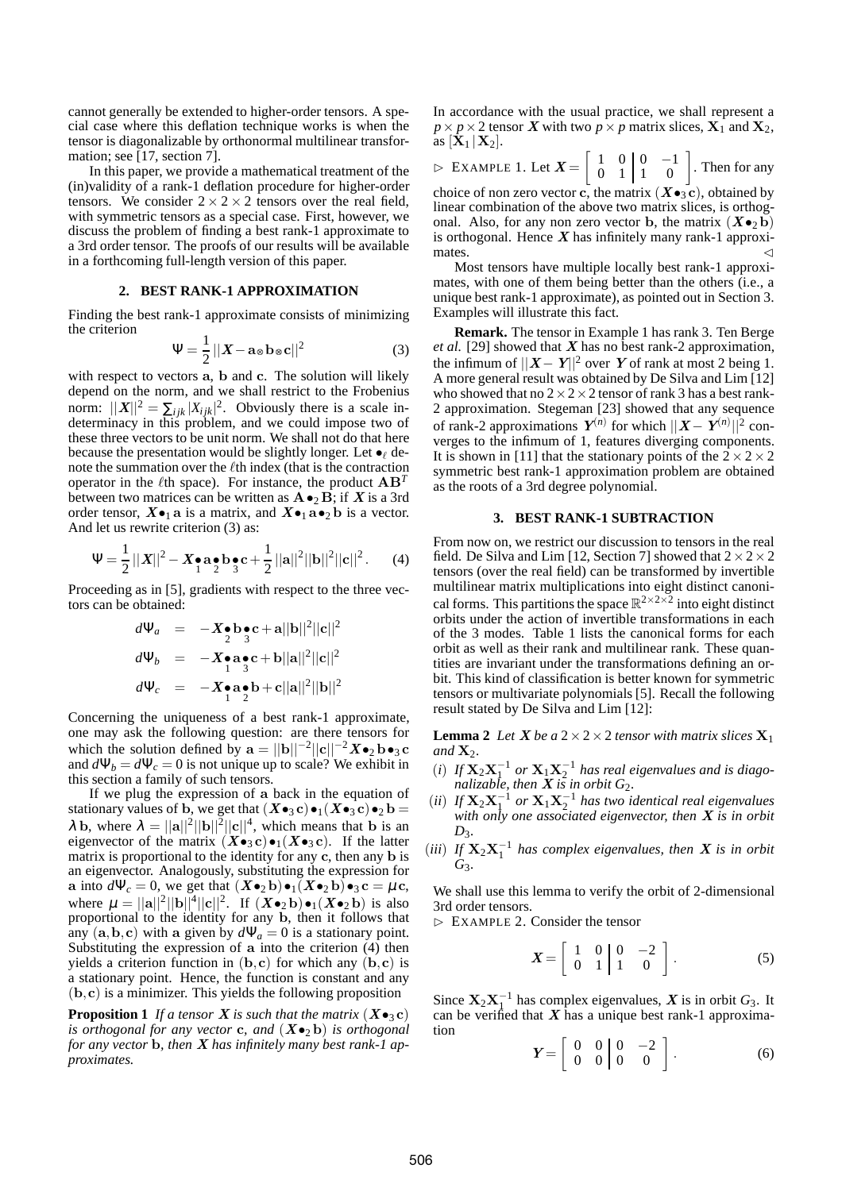cannot generally be extended to higher-order tensors. A special case where this deflation technique works is when the tensor is diagonalizable by orthonormal multilinear transformation; see [17, section 7].

In this paper, we provide a mathematical treatment of the (in)validity of a rank-1 deflation procedure for higher-order tensors. We consider  $2 \times 2 \times 2$  tensors over the real field, with symmetric tensors as a special case. First, however, we discuss the problem of finding a best rank-1 approximate to a 3rd order tensor. The proofs of our results will be available in a forthcoming full-length version of this paper.

## **2. BEST RANK-1 APPROXIMATION**

Finding the best rank-1 approximate consists of minimizing the criterion

$$
\Psi = \frac{1}{2} ||\mathbf{X} - \mathbf{a}_{\otimes} \mathbf{b}_{\otimes} \mathbf{c}||^2 \tag{3}
$$

with respect to vectors a, b and c. The solution will likely depend on the norm, and we shall restrict to the Frobenius norm:  $||X||^2 = \sum_{ijk} |X_{ijk}|^2$ . Obviously there is a scale indeterminacy in this problem, and we could impose two of these three vectors to be unit norm. We shall not do that here because the presentation would be slightly longer. Let  $\bullet$  denote the summation over the  $\ell$ th index (that is the contraction operator in the  $\ell$ th space). For instance, the product  $AB^T$ between two matrices can be written as  $\mathbf{A} \bullet_2 \mathbf{B}$ ; if X is a 3rd order tensor,  $X\bullet_1$  a is a matrix, and  $X\bullet_1$  a $\bullet_2$  b is a vector. And let us rewrite criterion (3) as:

$$
\Psi = \frac{1}{2} ||X||^2 - X \cdot a \cdot b \cdot c + \frac{1}{2} ||a||^2 ||b||^2 ||c||^2. \tag{4}
$$

Proceeding as in [5], gradients with respect to the three vectors can be obtained:

$$
d\Psi_a = -X_{\frac{1}{2}}\mathbf{b}_3 \mathbf{c} + \mathbf{a}||\mathbf{b}||^2||\mathbf{c}||^2
$$
  
\n
$$
d\Psi_b = -X_{\frac{1}{2}}\mathbf{a}_3 \mathbf{c} + \mathbf{b}||\mathbf{a}||^2||\mathbf{c}||^2
$$
  
\n
$$
d\Psi_c = -X_{\frac{1}{2}}\mathbf{a}_2 \mathbf{b} + \mathbf{c}||\mathbf{a}||^2||\mathbf{b}||^2
$$

Concerning the uniqueness of a best rank-1 approximate, one may ask the following question: are there tensors for which the solution defined by  $\mathbf{a} = ||\mathbf{b}||^{-2}||\mathbf{c}||^{-2} \mathbf{X} \bullet_2 \mathbf{b} \bullet_3 \mathbf{c}$ and  $d\Psi_b = d\Psi_c = 0$  is not unique up to scale? We exhibit in this section a family of such tensors.

If we plug the expression of a back in the equation of stationary values of b, we get that  $(X\bullet_3 c)\bullet_1(X\bullet_3 c)\bullet_2 b =$  $\lambda$  b, where  $\lambda = ||a||^2 ||b||^2 ||c||^4$ , which means that b is an eigenvector of the matrix  $(X \bullet_3 \mathbf{c}) \bullet_1 (X \bullet_3 \mathbf{c})$ . If the latter matrix is proportional to the identity for any c, then any b is an eigenvector. Analogously, substituting the expression for a into  $d\Psi_c = 0$ , we get that  $(\mathbf{X} \bullet_2 \mathbf{b}) \bullet_1 (\mathbf{X} \bullet_2 \mathbf{b}) \bullet_3 \mathbf{c} = \mu \mathbf{c}$ , where  $\mu = ||\mathbf{a}||^2 ||\mathbf{b}||^4 ||\mathbf{c}||^2$ . If  $(\mathbf{X} \bullet_2 \mathbf{b}) \bullet_1 (\mathbf{X} \bullet_2 \mathbf{b})$  is also proportional to the identity for any b, then it follows that any  $(a, b, c)$  with a given by  $d\Psi_a = 0$  is a stationary point. Substituting the expression of a into the criterion (4) then yields a criterion function in  $(b, c)$  for which any  $(b, c)$  is a stationary point. Hence, the function is constant and any  $(b, c)$  is a minimizer. This yields the following proposition

**Proposition 1** If a tensor **X** is such that the matrix  $(X \bullet_3 c)$ *is orthogonal for any vector* **c**, and  $(X \bullet_2 b)$  *is orthogonal for any vector* b*, then* X *has infinitely many best rank-1 approximates.*

In accordance with the usual practice, we shall represent a  $p \times p \times 2$  tensor X with two  $p \times p$  matrix slices,  $\mathbf{X}_1$  and  $\mathbf{X}_2$ , as  $[\mathbf{X}_1 | \mathbf{X}_2].$ 

 $\triangleright$  EXAMPLE 1. Let  $\boldsymbol{X} = \begin{bmatrix} 1 & 0 & 0 & -1 \\ 0 & 1 & 1 & 0 \end{bmatrix}$ . Then for any choice of non zero vector c, the matrix  $(X \bullet_3 c)$ , obtained by linear combination of the above two matrix slices, is orthogonal. Also, for any non zero vector b, the matrix  $(X\bullet_2 b)$ is orthogonal. Hence  $X$  has infinitely many rank-1 approxi-

mates.  $\blacksquare$ Most tensors have multiple locally best rank-1 approximates, with one of them being better than the others (i.e., a unique best rank-1 approximate), as pointed out in Section 3. Examples will illustrate this fact.

**Remark.** The tensor in Example 1 has rank 3. Ten Berge *et al.* [29] showed that X has no best rank-2 approximation, the infimum of  $||X - Y||^2$  over Y of rank at most 2 being 1. A more general result was obtained by De Silva and Lim [12] who showed that no  $2 \times 2 \times 2$  tensor of rank 3 has a best rank-2 approximation. Stegeman [23] showed that any sequence of rank-2 approximations  $Y^{(n)}$  for which  $||X - Y^{(n)}||^2$  converges to the infimum of 1, features diverging components. It is shown in [11] that the stationary points of the  $2 \times 2 \times 2$ symmetric best rank-1 approximation problem are obtained as the roots of a 3rd degree polynomial.

## **3. BEST RANK-1 SUBTRACTION**

From now on, we restrict our discussion to tensors in the real field. De Silva and Lim [12, Section 7] showed that  $2 \times 2 \times 2$ tensors (over the real field) can be transformed by invertible multilinear matrix multiplications into eight distinct canonical forms. This partitions the space  $\mathbb{R}^{2 \times 2 \times 2}$  into eight distinct orbits under the action of invertible transformations in each of the 3 modes. Table 1 lists the canonical forms for each orbit as well as their rank and multilinear rank. These quantities are invariant under the transformations defining an orbit. This kind of classification is better known for symmetric tensors or multivariate polynomials [5]. Recall the following result stated by De Silva and Lim [12]:

**Lemma 2** *Let*  $X$  *be a*  $2 \times 2 \times 2$  *tensor with matrix slices*  $X_1$ and  $X_2$ .

- $(i)$  *If*  $\mathbf{X}_2 \mathbf{X}_1^{-1}$  or  $\mathbf{X}_1 \mathbf{X}_2^{-1}$  has real eigenvalues and is diago*nalizable, then*  $\overline{X}$  *is in orbit*  $G_2$ *.*
- (*ii*) *If*  $X_2X_1^{-1}$  or  $X_1X_2^{-1}$  has two identical real eigenvalues *with only one associated eigenvector, then* X *is in orbit*  $D_3$ .
- (*iii*) If  $X_2X_1^{-1}$  has complex eigenvalues, then X is in orbit *G*3*.*

We shall use this lemma to verify the orbit of 2-dimensional 3rd order tensors.

⊲ EXAMPLE 2. Consider the tensor

$$
\boldsymbol{X} = \left[ \begin{array}{cc} 1 & 0 & 0 & -2 \\ 0 & 1 & 1 & 0 \end{array} \right]. \tag{5}
$$

Since  $X_2X_1^{-1}$  has complex eigenvalues, X is in orbit  $G_3$ . It can be verified that  $X$  has a unique best rank-1 approximation

$$
\boldsymbol{Y} = \left[ \begin{array}{cc} 0 & 0 & 0 & -2 \\ 0 & 0 & 0 & 0 \end{array} \right]. \tag{6}
$$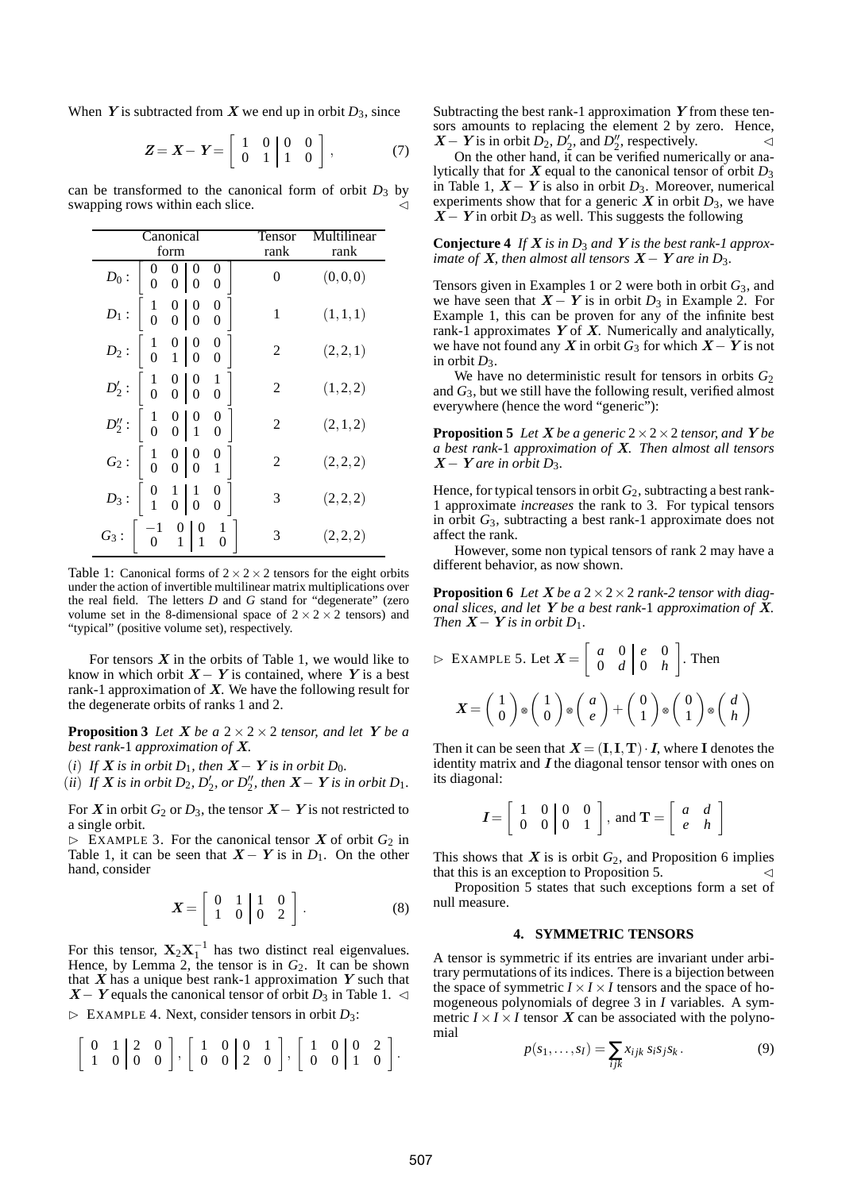When Y is subtracted from X we end up in orbit  $D_3$ , since

$$
Z = X - Y = \begin{bmatrix} 1 & 0 & 0 & 0 \\ 0 & 1 & 1 & 0 \end{bmatrix},
$$
 (7)

can be transformed to the canonical form of orbit  $D_3$  by swapping rows within each slice.

|                        | Canonical<br>form                                                                                     | Tensor<br>rank | ltilinear<br>rank |
|------------------------|-------------------------------------------------------------------------------------------------------|----------------|-------------------|
| $\mathcal{D}_0$ :      | $\begin{matrix} 0 \ 0 \end{matrix}$<br>$\dot{0}$<br>$\overline{0}$<br>$\overline{0}$                  | 0              | (0,0,0)           |
| $D_1$ :                | $\begin{array}{cc} 1 & 0 & 0 \\ 0 & 0 & 0 \end{array}$<br>$_0^0$                                      | $\mathbf{1}$   | (1,1,1)           |
| $D_2$ :                | $\begin{array}{cc c} 1 & 0 & 0 \\ 0 & 1 & 0 \end{array}$<br>$_0^0$                                    | 2              | (2,2,1)           |
| $D_2':$                | $\begin{array}{cc c} 1 & 0 & 0 \\ 0 & 0 & 0 \end{array}$<br>$\begin{smallmatrix}1\0\end{smallmatrix}$ | 2              | (1,2,2)           |
| $D_2^{\prime\prime}$ : | $\begin{array}{cc} 1 & 0 & 0 \\ 0 & 0 & 1 \end{array}$                                                | 2              | (2,1,2)           |
| $G_2$ :                | $\begin{array}{ c c c c c } \hline 1 & 0 & 0 \\ 0 & 0 & 0 \end{array}$                                | 2              | (2,2,2)           |
|                        | $D_3: \begin{bmatrix} 0 & 1 & 1 \\ 1 & 0 & 0 \end{bmatrix}$                                           | 3              | (2,2,2)           |
| $G_3$ :                | $\begin{bmatrix} 0 \\ 1 \end{bmatrix}$ $\begin{bmatrix} 0 \\ 1 \end{bmatrix}$<br>$\theta$             | 3              | (2,2,2)           |

Table 1: Canonical forms of  $2 \times 2 \times 2$  tensors for the eight orbits under the action of invertible multilinear matrix multiplications over the real field. The letters *D* and *G* stand for "degenerate" (zero volume set in the 8-dimensional space of  $2 \times 2 \times 2$  tensors) and "typical" (positive volume set), respectively.

For tensors  $X$  in the orbits of Table 1, we would like to know in which orbit  $X - Y$  is contained, where Y is a best rank-1 approximation of  $X$ . We have the following result for the degenerate orbits of ranks 1 and 2.

**Proposition 3** *Let*  $X$  *be a*  $2 \times 2 \times 2$  *tensor, and let*  $Y$  *be a best rank-*1 *approximation of* X*.*

(*i*) *If*  $X$  *is in orbit*  $D_1$ *, then*  $X - Y$  *is in orbit*  $D_0$ *.* 

 $(iii)$  *If*  $X$  *is in orbit*  $D_2$ ,  $D'_2$ , *or*  $D''_2$ , *then*  $X - Y$  *is in orbit*  $D_1$ *.* 

For X in orbit *G*<sup>2</sup> or *D*3, the tensor X−Y is not restricted to a single orbit.

 $\triangleright$  EXAMPLE 3. For the canonical tensor X of orbit  $G_2$  in Table 1, it can be seen that  $X - Y$  is in  $D_1$ . On the other hand, consider

$$
\boldsymbol{X} = \left[ \begin{array}{ccc} 0 & 1 & 1 & 0 \\ 1 & 0 & 0 & 2 \end{array} \right]. \tag{8}
$$

For this tensor,  $X_2X_1^{-1}$  has two distinct real eigenvalues. Hence, by Lemma 2, the tensor is in  $G_2$ . It can be shown that  $X$  has a unique best rank-1 approximation  $Y$  such that  $X - Y$  equals the canonical tensor of orbit  $D_3$  in Table 1.  $\triangleleft$  $\triangleright$  EXAMPLE 4. Next, consider tensors in orbit  $D_3$ :

$$
\left[\begin{array}{cc|c} 0 & 1 & 2 & 0 \\ 1 & 0 & 0 & 0 \end{array}\right], \left[\begin{array}{cc|c} 1 & 0 & 0 & 1 \\ 0 & 0 & 2 & 0 \end{array}\right], \left[\begin{array}{cc|c} 1 & 0 & 0 & 2 \\ 0 & 0 & 1 & 0 \end{array}\right].
$$

Subtracting the best rank-1 approximation  $Y$  from these tensors amounts to replacing the element 2 by zero. Hence,  $X - Y$  is in orbit  $D_2$ ,  $D_2'$ , and  $D_2''$ , respectively.

On the other hand, it can be verified numerically or analytically that for X equal to the canonical tensor of orbit *D*<sup>3</sup> in Table 1,  $X - Y$  is also in orbit  $D_3$ . Moreover, numerical experiments show that for a generic  $\boldsymbol{X}$  in orbit  $D_3$ , we have  $X - Y$  in orbit  $D_3$  as well. This suggests the following

**Conjecture 4** *If* X *is in D*<sup>3</sup> *and* Y *is the best rank-1 approximate of*  $X$ *, then almost all tensors*  $X - Y$  *are in D*<sub>3</sub>*.* 

Tensors given in Examples 1 or 2 were both in orbit *G*3, and we have seen that  $X - Y$  is in orbit  $D_3$  in Example 2. For Example 1, this can be proven for any of the infinite best rank-1 approximates  $Y$  of  $X$ . Numerically and analytically, we have not found any X in orbit  $G_3$  for which  $X - Y$  is not in orbit  $D_3$ .

We have no deterministic result for tensors in orbits *G*<sup>2</sup> and *G*3, but we still have the following result, verified almost everywhere (hence the word "generic"):

**Proposition 5** *Let*  $X$ *be a generic*  $2 \times 2 \times 2$  *tensor, and*  $Y$ *be a best rank-*1 *approximation of* X*. Then almost all tensors*  $X - Y$  *are in orbit D*<sub>3</sub>.

Hence, for typical tensors in orbit *G*2, subtracting a best rank-1 approximate *increases* the rank to 3. For typical tensors in orbit *G*3, subtracting a best rank-1 approximate does not affect the rank.

However, some non typical tensors of rank 2 may have a different behavior, as now shown.

**Proposition 6** *Let*  $X$  *be a*  $2 \times 2 \times 2$  *rank-2 tensor with diagonal slices, and let* Y *be a best rank-*1 *approximation of* X*. Then*  $X - Y$  *is in orbit*  $D_1$ *.* 

$$
\triangleright \text{EXAMPLE 5. Let } \mathbf{X} = \begin{bmatrix} a & 0 & e & 0 \\ 0 & d & 0 & h \end{bmatrix}. \text{ Then}
$$

$$
\mathbf{X} = \begin{pmatrix} 1 \\ 0 \end{pmatrix} \otimes \begin{pmatrix} 1 \\ 0 \end{pmatrix} \otimes \begin{pmatrix} a \\ e \end{pmatrix} + \begin{pmatrix} 0 \\ 1 \end{pmatrix} \otimes \begin{pmatrix} 0 \\ 1 \end{pmatrix} \otimes \begin{pmatrix} d \\ h \end{pmatrix}
$$

Then it can be seen that  $X = (I, I, T) \cdot I$ , where I denotes the identity matrix and  $I$  the diagonal tensor tensor with ones on its diagonal:

$$
\boldsymbol{I} = \left[ \begin{array}{cc} 1 & 0 & 0 & 0 \\ 0 & 0 & 0 & 1 \end{array} \right], \text{ and } \mathbf{T} = \left[ \begin{array}{cc} a & d \\ e & h \end{array} \right]
$$

This shows that  $X$  is is orbit  $G_2$ , and Proposition 6 implies that this is an exception to Proposition 5.

Proposition 5 states that such exceptions form a set of null measure.

## **4. SYMMETRIC TENSORS**

A tensor is symmetric if its entries are invariant under arbitrary permutations of its indices. There is a bijection between the space of symmetric  $I \times I \times I$  tensors and the space of homogeneous polynomials of degree 3 in *I* variables. A symmetric  $I \times I \times I$  tensor X can be associated with the polynomial

$$
p(s_1,\ldots,s_I) = \sum_{ijk} x_{ijk} s_i s_j s_k.
$$
 (9)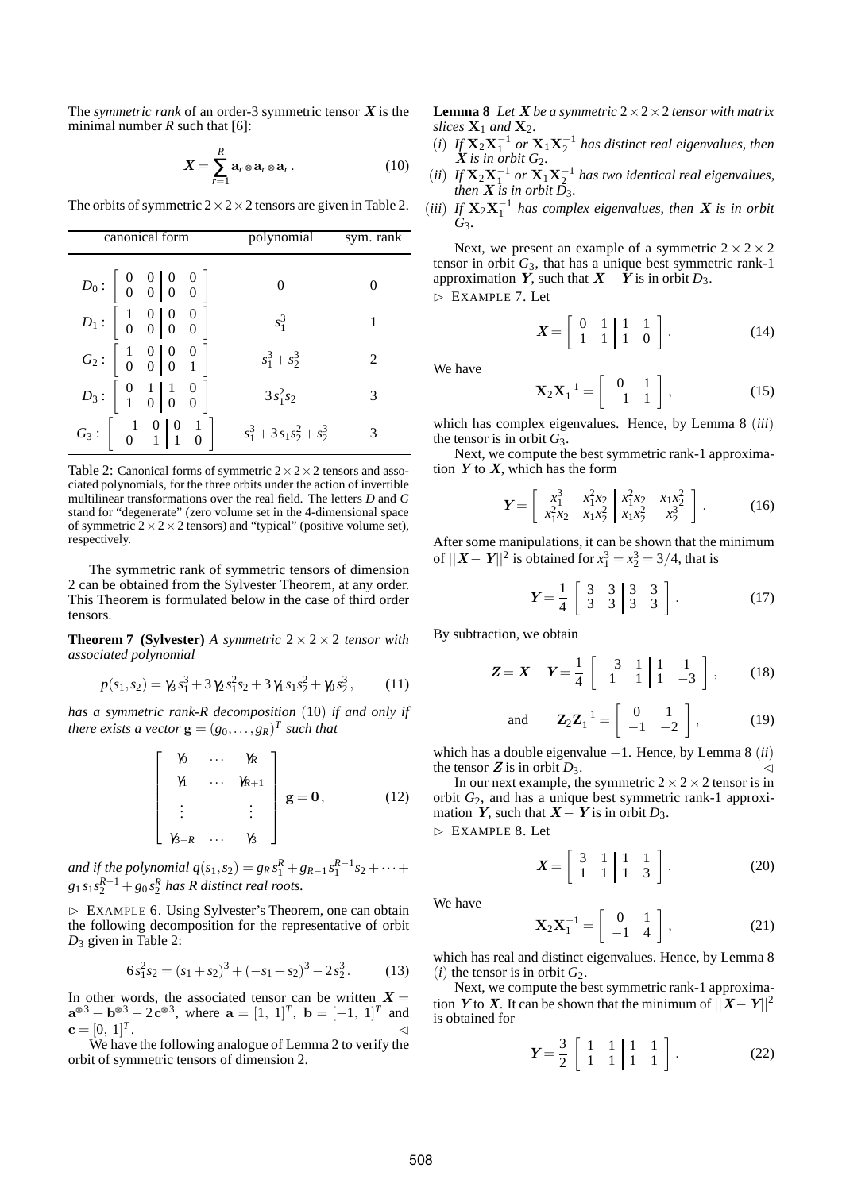The *symmetric rank* of an order-3 symmetric tensor  $X$  is the minimal number  $R$  such that [6]:

$$
X = \sum_{r=1}^{R} \mathbf{a}_r \otimes \mathbf{a}_r \otimes \mathbf{a}_r.
$$
 (10)

The orbits of symmetric  $2 \times 2 \times 2$  tensors are given in Table 2.

| canonical form                                                                                                                                                                     | polynomial      | sym. rank |
|------------------------------------------------------------------------------------------------------------------------------------------------------------------------------------|-----------------|-----------|
| $D_0$ : $\begin{array}{ c c c c c } 0 & 0 & 0 & 0 & 0 \ 0 & 0 & 0 & 0 \end{array}$                                                                                                 | $\Omega$        |           |
| $D_1: \left[\begin{array}{cc}1&0\0&0\end{array}\right] \left[\begin{array}{cc}0&0\0&0\end{array}\right]$                                                                           | $s_1^3$         | 1         |
| $G_2: \begin{bmatrix} 1 & 0 & 0 & 0 \\ 0 & 0 & 0 & 1 \end{bmatrix}$                                                                                                                | $s_1^3 + s_2^3$ | 2         |
| $D_3: \begin{bmatrix} 0 & 1 & 1 & 0 \\ 1 & 0 & 0 & 0 \end{bmatrix}$                                                                                                                | $3s_1^2s_2$     | 3         |
| $G_3$ : $\begin{array}{ c c c c c c } \hline -1 & 0 & 0 & 1 \\ \hline 0 & 1 & 1 & 0 \end{array}$ $\begin{array}{ c c c c c } \hline -s_1^3 + 3s_1s_2^2 + s_2^3 \hline \end{array}$ |                 |           |

Table 2: Canonical forms of symmetric  $2 \times 2 \times 2$  tensors and associated polynomials, for the three orbits under the action of invertible multilinear transformations over the real field. The letters *D* and *G* stand for "degenerate" (zero volume set in the 4-dimensional space of symmetric  $2 \times 2 \times 2$  tensors) and "typical" (positive volume set), respectively.

The symmetric rank of symmetric tensors of dimension 2 can be obtained from the Sylvester Theorem, at any order. This Theorem is formulated below in the case of third order tensors.

**Theorem 7 (Sylvester)** *A symmetric*  $2 \times 2 \times 2$  *tensor with associated polynomial*

$$
p(s_1, s_2) = \gamma_3 s_1^3 + 3 \gamma_2 s_1^2 s_2 + 3 \gamma_1 s_1 s_2^2 + \gamma_0 s_2^3, \qquad (11)
$$

*has a symmetric rank-R decomposition* (10) *if and only if there exists a vector*  $\mathbf{g} = (g_0, \ldots, g_R)^T$  *such that* 

$$
\begin{bmatrix}\n\begin{array}{ccc}\n\gamma_0 & \cdots & \gamma_R \\
\gamma_1 & \cdots & \gamma_{R+1} \\
\vdots & & \vdots \\
\gamma_{3-R} & \cdots & \gamma_3\n\end{array}\n\end{bmatrix}\n\mathbf{g} = \mathbf{0},\n\tag{12}
$$

*and if the polynomial*  $q(s_1, s_2) = g_R s_1^R + g_{R-1} s_1^{R-1} s_2 + \cdots$  $g_1 s_1 s_2^{R-1} + g_0 s_2^R$  has R distinct real roots.

⊲ EXAMPLE 6. Using Sylvester's Theorem, one can obtain the following decomposition for the representative of orbit *D*<sup>3</sup> given in Table 2:

$$
6s_1^2s_2 = (s_1 + s_2)^3 + (-s_1 + s_2)^3 - 2s_2^3.
$$
 (13)

In other words, the associated tensor can be written  $X =$  $a^{\otimes 3} + b^{\otimes 3} - 2c^{\otimes 3}$ , where  $a = [1, 1]^T$ ,  $b = [-1, 1]^T$  and  $$ . ⊳

We have the following analogue of Lemma 2 to verify the orbit of symmetric tensors of dimension 2.

**Lemma 8** Let **X** be a symmetric  $2 \times 2 \times 2$  *tensor with matrix slices*  $X_1$  *and*  $X_2$ *.* 

- (*i*) *If*  $X_2X_1^{-1}$  or  $X_1X_2^{-1}$  has distinct real eigenvalues, then  $\overline{\mathbf{X}}$  *is in orbit*  $G_2$ .
- $(iii)$  *If*  $X_2X_1^{-1}$  or  $X_1X_2^{-1}$  has two identical real eigenvalues, *then*  $\overline{X}$  *is in orbit*  $\overline{D}_3$ *.*
- (*iii*) *If*  $X_2X_1^{-1}$  *has complex eigenvalues, then X is in orbit G*3*.*

Next, we present an example of a symmetric  $2 \times 2 \times 2$ tensor in orbit *G*3, that has a unique best symmetric rank-1 approximation Y, such that  $X - Y$  is in orbit  $D_3$ .

⊲ EXAMPLE 7. Let

$$
\boldsymbol{X} = \left[ \begin{array}{ccc|c} 0 & 1 & 1 & 1 \\ 1 & 1 & 1 & 0 \end{array} \right]. \tag{14}
$$

We have

$$
\mathbf{X}_2 \mathbf{X}_1^{-1} = \left[ \begin{array}{cc} 0 & 1 \\ -1 & 1 \end{array} \right],\tag{15}
$$

which has complex eigenvalues. Hence, by Lemma 8 (*iii*) the tensor is in orbit  $G_3$ .

Next, we compute the best symmetric rank-1 approximation  $Y$  to  $X$ , which has the form

$$
\boldsymbol{Y} = \begin{bmatrix} x_1^3 & x_1^2 x_2 & x_1 x_2^2 & x_1 x_2^2 \\ x_1^2 x_2 & x_1 x_2^2 & x_1 x_2^2 & x_2^2 \end{bmatrix} . \tag{16}
$$

After some manipulations, it can be shown that the minimum of  $||X - Y||^2$  is obtained for  $x_1^3 = x_2^3 = 3/4$ , that is

$$
Y = \frac{1}{4} \begin{bmatrix} 3 & 3 & 3 & 3 \\ 3 & 3 & 3 & 3 \end{bmatrix}.
$$
 (17)

By subtraction, we obtain

$$
Z = X - Y = \frac{1}{4} \begin{bmatrix} -3 & 1 & 1 & 1 \\ 1 & 1 & 1 & -3 \end{bmatrix},
$$
 (18)

and 
$$
\mathbf{Z}_2 \mathbf{Z}_1^{-1} = \begin{bmatrix} 0 & 1 \\ -1 & -2 \end{bmatrix}
$$
, (19)

which has a double eigenvalue −1. Hence, by Lemma 8 (*ii*) the tensor  $Z$  is in orbit  $D_3$ .  $\lhd$ 

In our next example, the symmetric  $2 \times 2 \times 2$  tensor is in orbit *G*2, and has a unique best symmetric rank-1 approximation Y, such that  $X - Y$  is in orbit  $D_3$ .

⊲ EXAMPLE 8. Let

$$
\boldsymbol{X} = \left[ \begin{array}{ccc} 3 & 1 & 1 & 1 \\ 1 & 1 & 1 & 3 \end{array} \right]. \tag{20}
$$

We have

$$
\mathbf{X}_2 \mathbf{X}_1^{-1} = \left[ \begin{array}{cc} 0 & 1 \\ -1 & 4 \end{array} \right],\tag{21}
$$

which has real and distinct eigenvalues. Hence, by Lemma 8  $(i)$  the tensor is in orbit  $G_2$ .

Next, we compute the best symmetric rank-1 approximation Y to X. It can be shown that the minimum of  $||X-Y||^2$ is obtained for

$$
Y = \frac{3}{2} \left[ \begin{array}{rrr} 1 & 1 & 1 & 1 \\ 1 & 1 & 1 & 1 \end{array} \right].
$$
 (22)